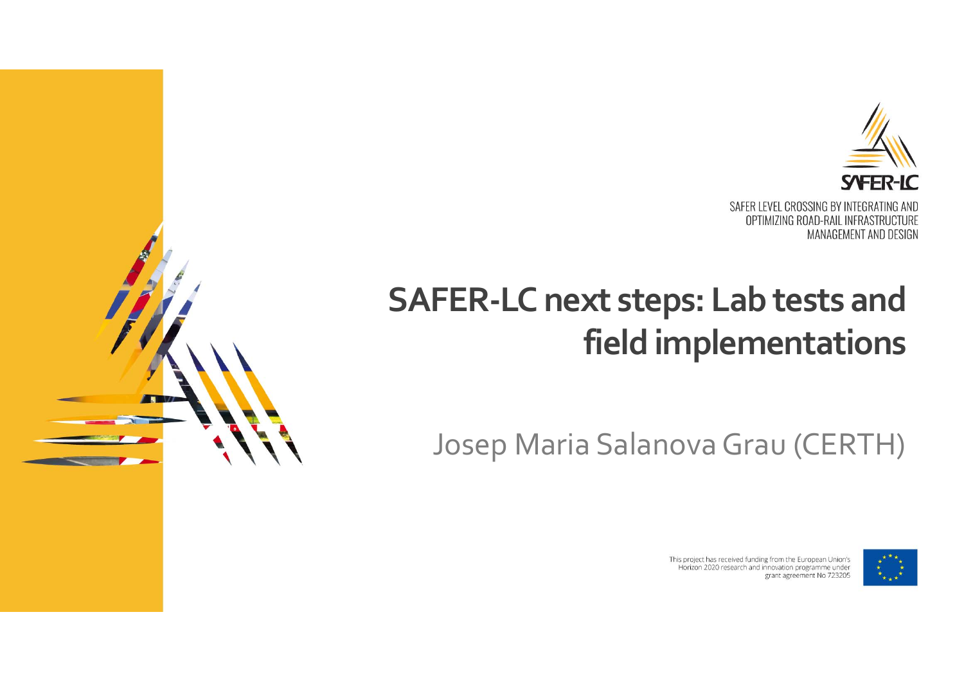

### **SAFER‐LC next steps: Lab tests and field implementations**

Josep Maria Salanova Grau (CERTH)



This project has received funding from the European Union's Horizon 2020 research and innovation programme under grant agreement No 723205

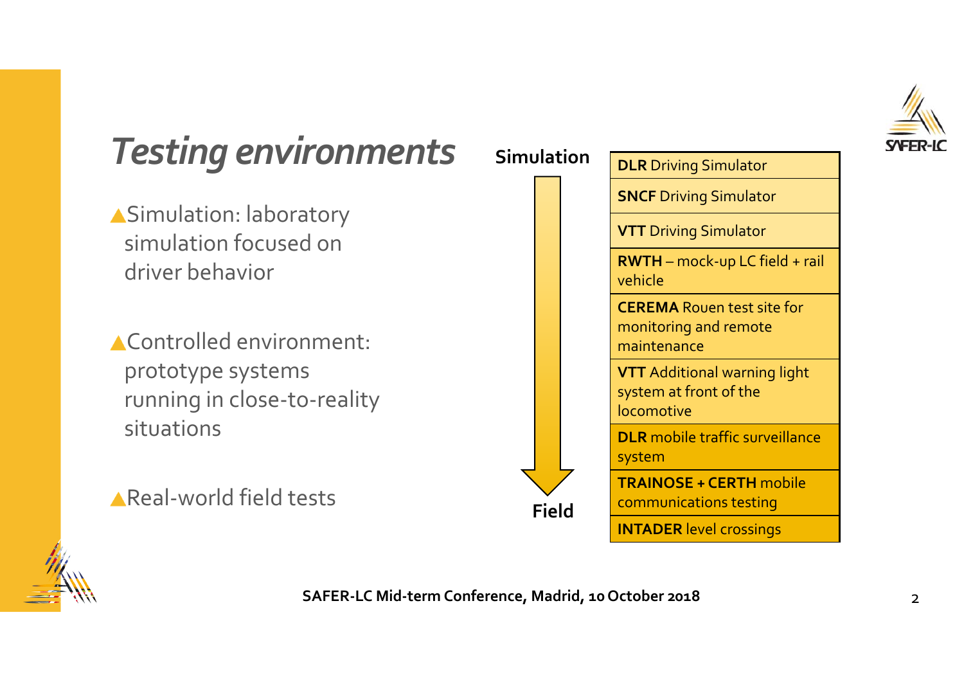

#### *Testing environments*

- Simulation: laboratory simulation focused on driver behavior
- Controlled environment: prototype systems running in close‐to‐reality situations
- Real‐world field tests





**SAFER‐LC Mid‐term Conference, Madrid, <sup>10</sup> October 2018** <sup>2</sup>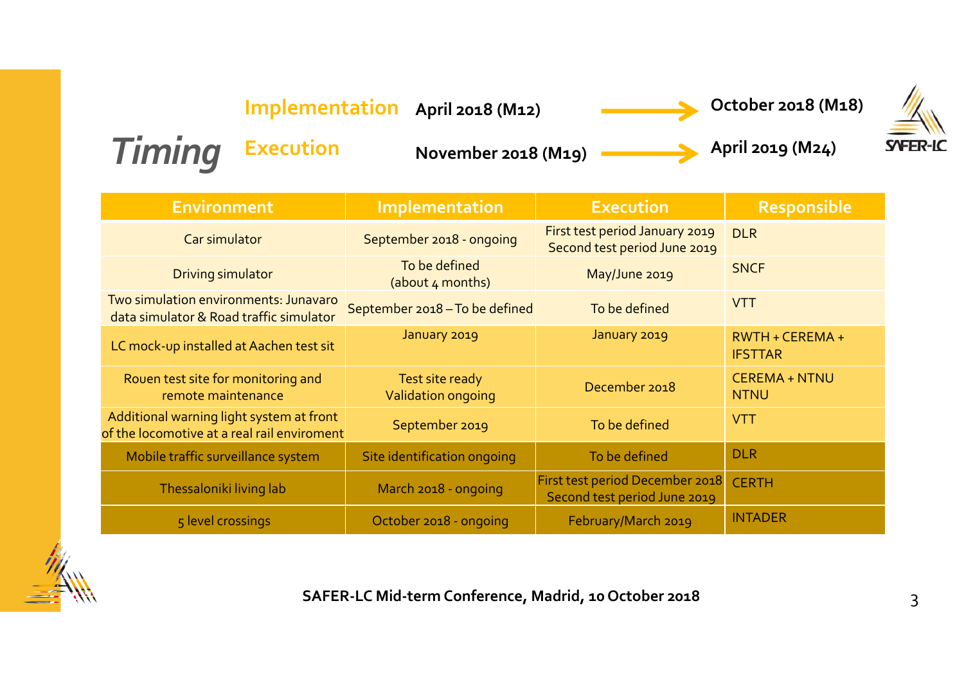**April <sup>2018</sup> (M12) October <sup>2018</sup> (M18) Implementation**

**(M19) April <sup>2019</sup> (M24)**



*Timing* **Execution**

**November 2018**

| <b>Environment</b>                                                                      | Implementation                                     | <b>Execution</b>                                                | <b>Responsible</b>                  |
|-----------------------------------------------------------------------------------------|----------------------------------------------------|-----------------------------------------------------------------|-------------------------------------|
| Car simulator                                                                           | September 2018 - ongoing                           | First test period January 2019<br>Second test period June 2019  | <b>DLR</b>                          |
| Driving simulator                                                                       | To be defined<br>May/June 2019<br>(about 4 months) |                                                                 | <b>SNCF</b>                         |
| Two simulation environments: Junavaro<br>data simulator & Road traffic simulator        | September 2018 - To be defined<br>To be defined    |                                                                 | <b>VTT</b>                          |
| LC mock-up installed at Aachen test sit                                                 | January 2019                                       | January 2019                                                    | RWTH + CEREMA +<br><b>IFSTTAR</b>   |
| Rouen test site for monitoring and<br>remote maintenance                                | Test site ready<br>Validation ongoing              | December 2018                                                   | <b>CEREMA + NTNU</b><br><b>NTNU</b> |
| Additional warning light system at front<br>of the locomotive at a real rail enviroment | September 2019                                     | To be defined                                                   | <b>VTT</b>                          |
| Mobile traffic surveillance system                                                      | Site identification ongoing                        | To be defined                                                   | <b>DLR</b>                          |
| Thessaloniki living lab                                                                 | March 2018 - ongoing                               | First test period December 2018<br>Second test period June 2019 | <b>CERTH</b>                        |
| 5 level crossings                                                                       | October 2018 - ongoing                             | <b>INTADER</b><br>February/March 2019                           |                                     |



**SAFER‐LC Mid‐term Conference, Madrid, <sup>10</sup> October <sup>2018</sup>** 3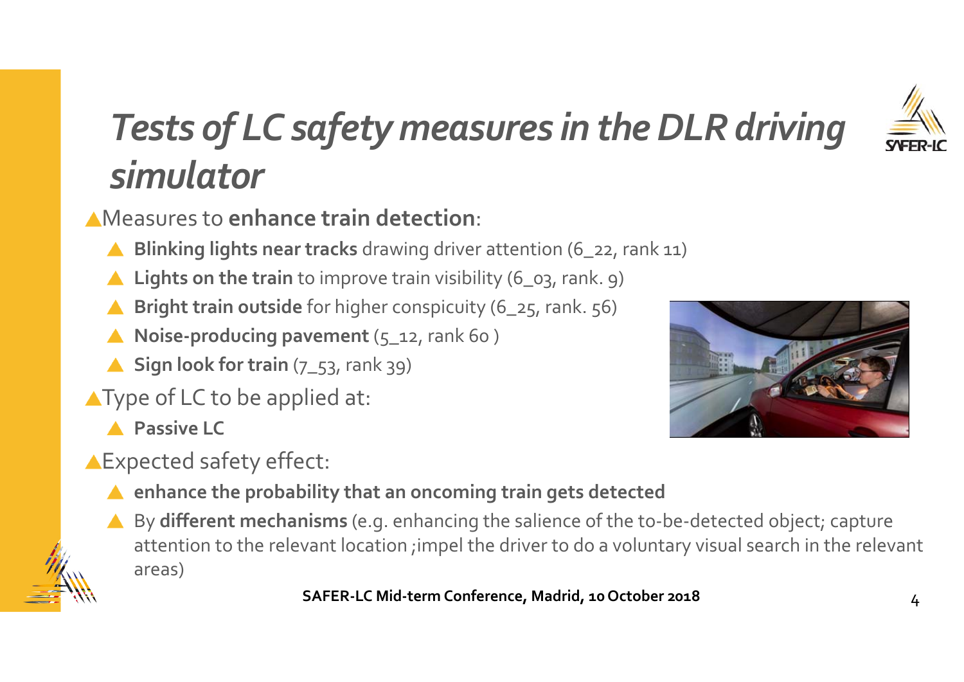

# *Tests of LC safety measures in theDLR driving simulator*

Measures to **enhance train detection**:

- **Blinking lights near tracks** drawing driver attention (6\_22, rank 11)
- **Lights on the train** to improve train visibility (6\_03, rank. 9)
- **Bright train outside** for higher conspicuity (6\_25, rank. 56)
- **Noise‐producing pavemen<sup>t</sup>** (5\_12, rank 60 )
- ▲ Sign look for train (7\_53, rank 39)
- **AType of LC to be applied at:** 
	- **Passive LC**
- **AExpected safety effect:** 
	- **enhance the probability that an oncoming train gets detected**
	- By **different mechanisms** (e.g. enhancing the salience of the to‐be‐detected object; capture attention to the relevant location ;impel the driver to do <sup>a</sup> voluntary visual search in the relevant areas)

**SAFER‐LC Mid‐term Conference, Madrid, <sup>10</sup> October <sup>2018</sup>** <sup>4</sup>

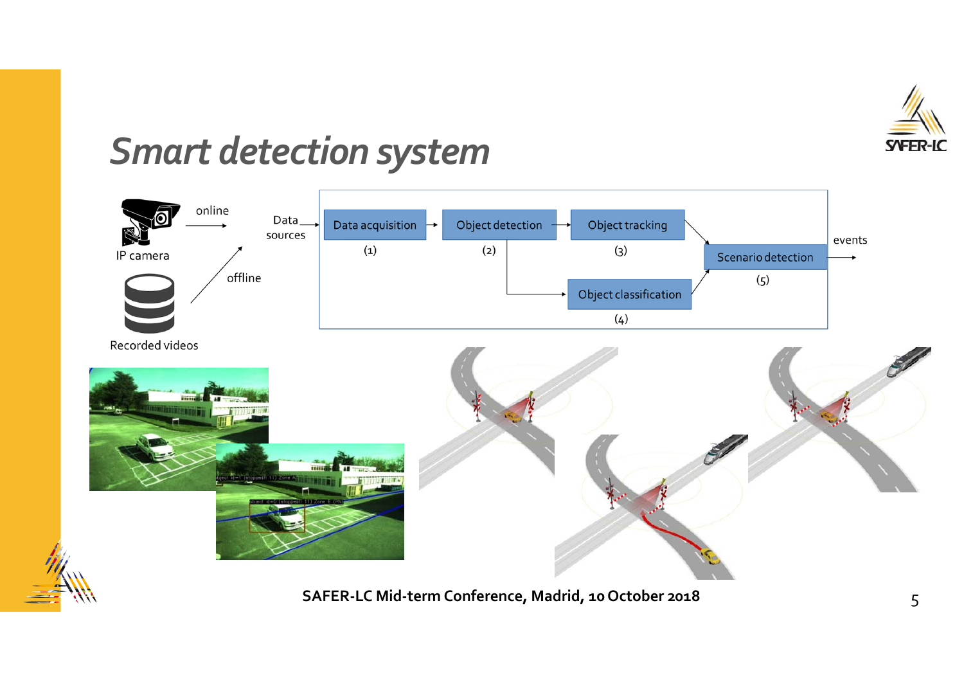

#### **Smart detection system**



SAFER-LC Mid-term Conference, Madrid, 10 October 2018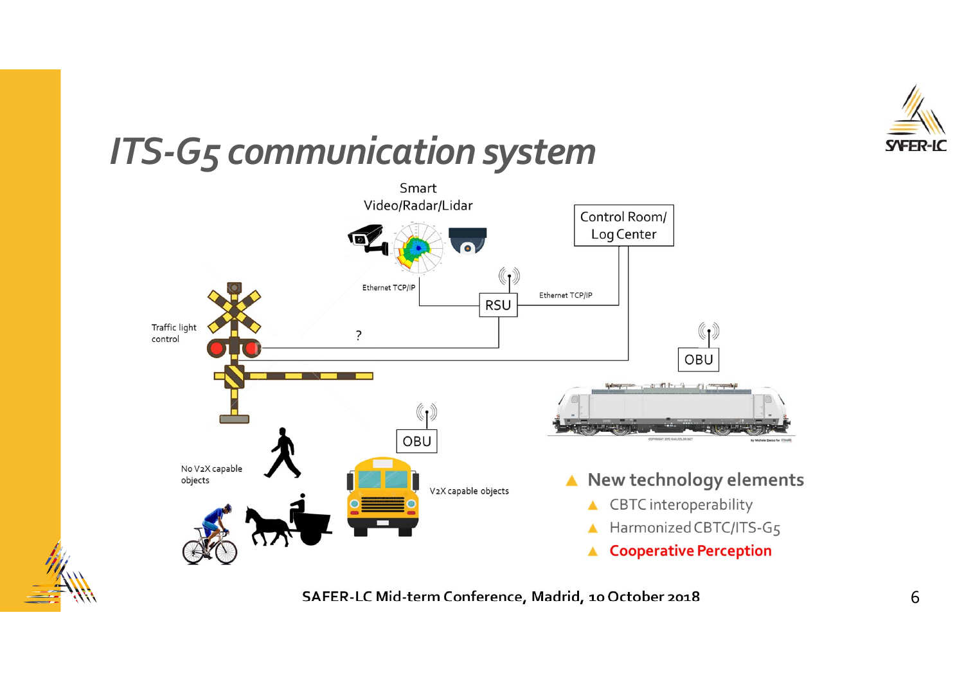

#### **ITS-G5 communication system**





SAFER-LC Mid-term Conference, Madrid, 10 October 2018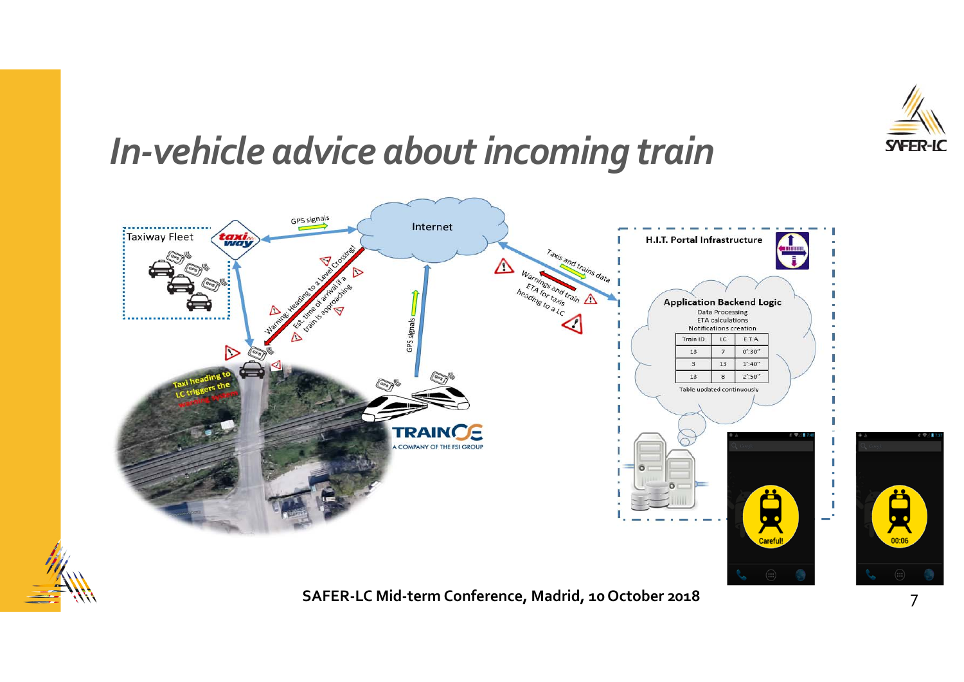

### *In‐vehicle advice aboutincoming train*

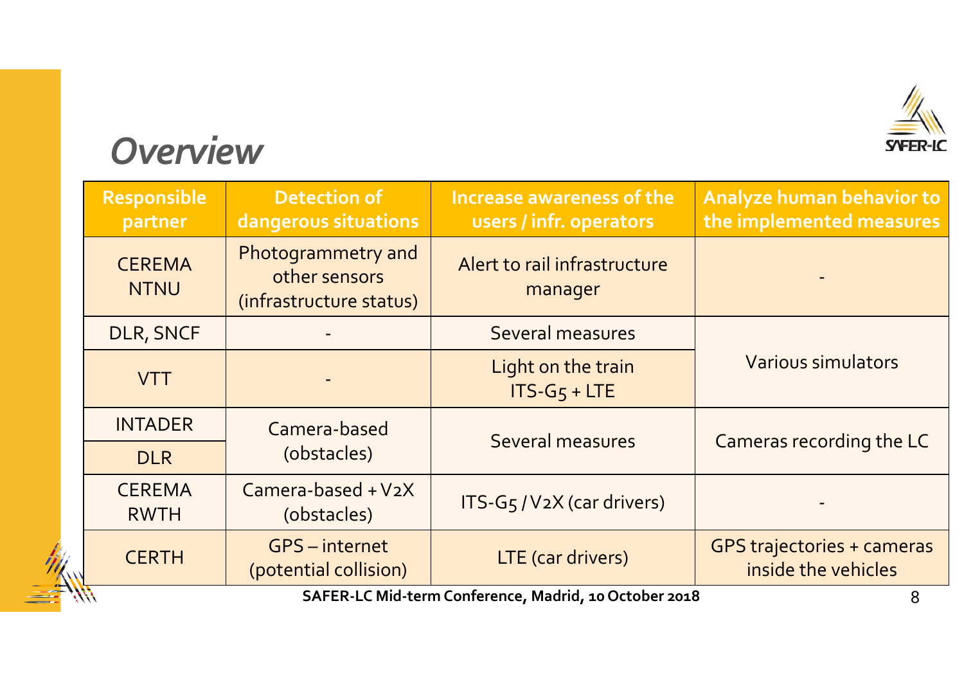

#### *Overview*

 $\equiv$ 

| Responsible<br>partner                                     | <b>Detection of</b><br>dangerous situations                    | Increase awareness of the<br>users / infr. operators | Analyze human behavior to<br>the implemented measures    |  |
|------------------------------------------------------------|----------------------------------------------------------------|------------------------------------------------------|----------------------------------------------------------|--|
| <b>CEREMA</b><br><b>NTNU</b>                               | Photogrammetry and<br>other sensors<br>(infrastructure status) | Alert to rail infrastructure<br>manager              |                                                          |  |
| DLR, SNCF                                                  |                                                                | Several measures                                     |                                                          |  |
| <b>VTT</b>                                                 |                                                                | Light on the train<br>$ITS-G5 + LTE$                 | <b>Various simulators</b>                                |  |
| <b>INTADER</b>                                             | Camera-based                                                   | Several measures                                     | Cameras recording the LC                                 |  |
| <b>DLR</b>                                                 | (obstacles)                                                    |                                                      |                                                          |  |
| <b>CEREMA</b><br><b>RWTH</b>                               | Camera-based $+V_2X$<br>(obstacles)                            | ITS-G <sub>5</sub> /V <sub>2</sub> X (car drivers)   |                                                          |  |
| <b>CERTH</b>                                               | <b>GPS</b> – internet<br>(potential collision)                 | LTE (car drivers)                                    | <b>GPS trajectories + cameras</b><br>inside the vehicles |  |
| SAFER-LC Mid-term Conference, Madrid, 10 October 2018<br>8 |                                                                |                                                      |                                                          |  |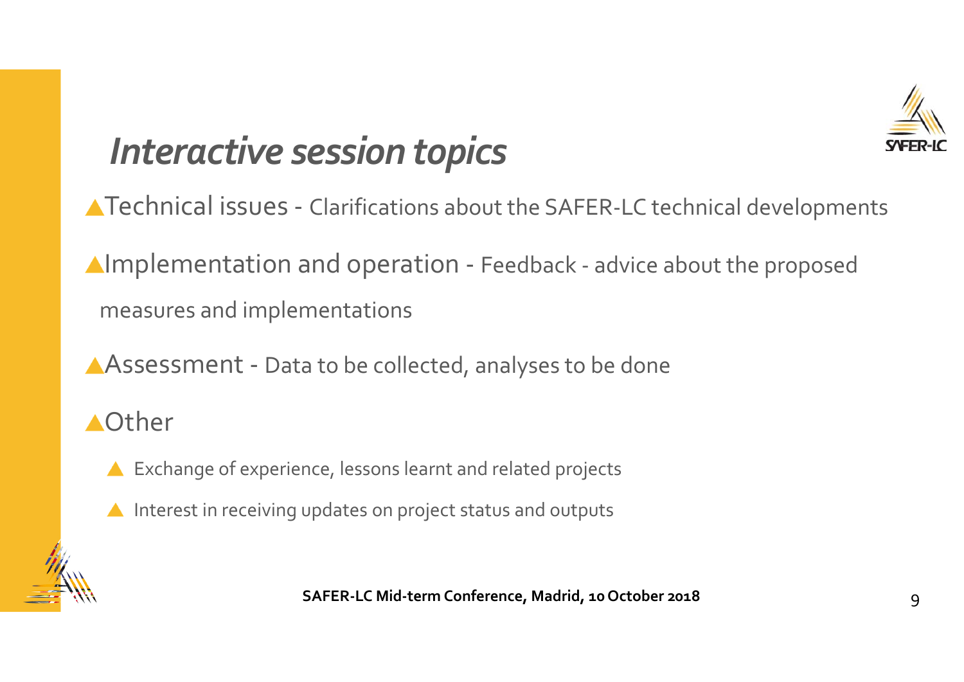

## *Interactive session topics*

- Technical issues ‐ Clarifications about the SAFER‐LC technical developments
- Implementation and operation ‐ Feedback ‐ advice about the propose<sup>d</sup> measures and implementations
- Assessment ‐ Data to be collected, analyses to be done
- Other
	- ▲ Exchange of experience, lessons learnt and related projects
	- Interest in receiving updates on project status and outputs